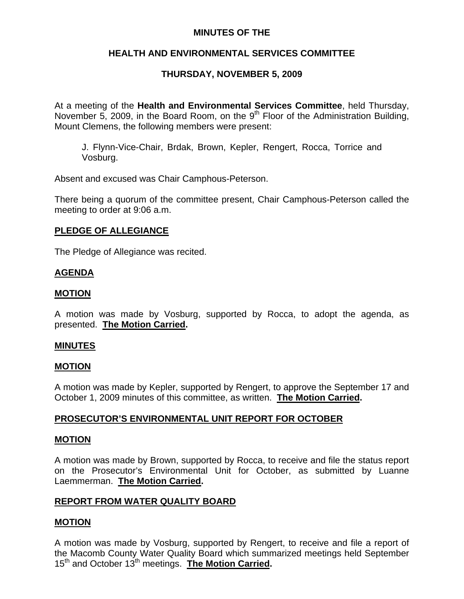### **MINUTES OF THE**

# **HEALTH AND ENVIRONMENTAL SERVICES COMMITTEE**

# **THURSDAY, NOVEMBER 5, 2009**

At a meeting of the **Health and Environmental Services Committee**, held Thursday, November 5, 2009, in the Board Room, on the  $9<sup>th</sup>$  Floor of the Administration Building, Mount Clemens, the following members were present:

J. Flynn-Vice-Chair, Brdak, Brown, Kepler, Rengert, Rocca, Torrice and Vosburg.

Absent and excused was Chair Camphous-Peterson.

There being a quorum of the committee present, Chair Camphous-Peterson called the meeting to order at 9:06 a.m.

### **PLEDGE OF ALLEGIANCE**

The Pledge of Allegiance was recited.

### **AGENDA**

### **MOTION**

A motion was made by Vosburg, supported by Rocca, to adopt the agenda, as presented. **The Motion Carried.** 

### **MINUTES**

### **MOTION**

A motion was made by Kepler, supported by Rengert, to approve the September 17 and October 1, 2009 minutes of this committee, as written. **The Motion Carried.** 

# **PROSECUTOR'S ENVIRONMENTAL UNIT REPORT FOR OCTOBER**

### **MOTION**

A motion was made by Brown, supported by Rocca, to receive and file the status report on the Prosecutor's Environmental Unit for October, as submitted by Luanne Laemmerman. **The Motion Carried.** 

### **REPORT FROM WATER QUALITY BOARD**

### **MOTION**

A motion was made by Vosburg, supported by Rengert, to receive and file a report of the Macomb County Water Quality Board which summarized meetings held September 15th and October 13th meetings. **The Motion Carried.**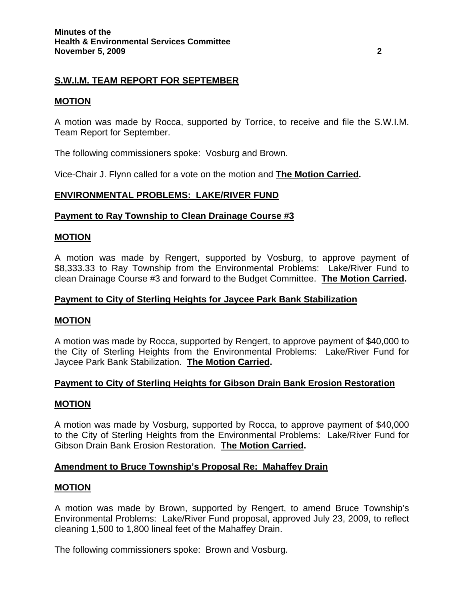# **S.W.I.M. TEAM REPORT FOR SEPTEMBER**

### **MOTION**

A motion was made by Rocca, supported by Torrice, to receive and file the S.W.I.M. Team Report for September.

The following commissioners spoke: Vosburg and Brown.

Vice-Chair J. Flynn called for a vote on the motion and **The Motion Carried.** 

# **ENVIRONMENTAL PROBLEMS: LAKE/RIVER FUND**

### **Payment to Ray Township to Clean Drainage Course #3**

### **MOTION**

A motion was made by Rengert, supported by Vosburg, to approve payment of \$8,333.33 to Ray Township from the Environmental Problems: Lake/River Fund to clean Drainage Course #3 and forward to the Budget Committee. **The Motion Carried.** 

### **Payment to City of Sterling Heights for Jaycee Park Bank Stabilization**

### **MOTION**

A motion was made by Rocca, supported by Rengert, to approve payment of \$40,000 to the City of Sterling Heights from the Environmental Problems: Lake/River Fund for Jaycee Park Bank Stabilization. **The Motion Carried.** 

### **Payment to City of Sterling Heights for Gibson Drain Bank Erosion Restoration**

### **MOTION**

A motion was made by Vosburg, supported by Rocca, to approve payment of \$40,000 to the City of Sterling Heights from the Environmental Problems: Lake/River Fund for Gibson Drain Bank Erosion Restoration. **The Motion Carried.** 

### **Amendment to Bruce Township's Proposal Re: Mahaffey Drain**

#### **MOTION**

A motion was made by Brown, supported by Rengert, to amend Bruce Township's Environmental Problems: Lake/River Fund proposal, approved July 23, 2009, to reflect cleaning 1,500 to 1,800 lineal feet of the Mahaffey Drain.

The following commissioners spoke: Brown and Vosburg.